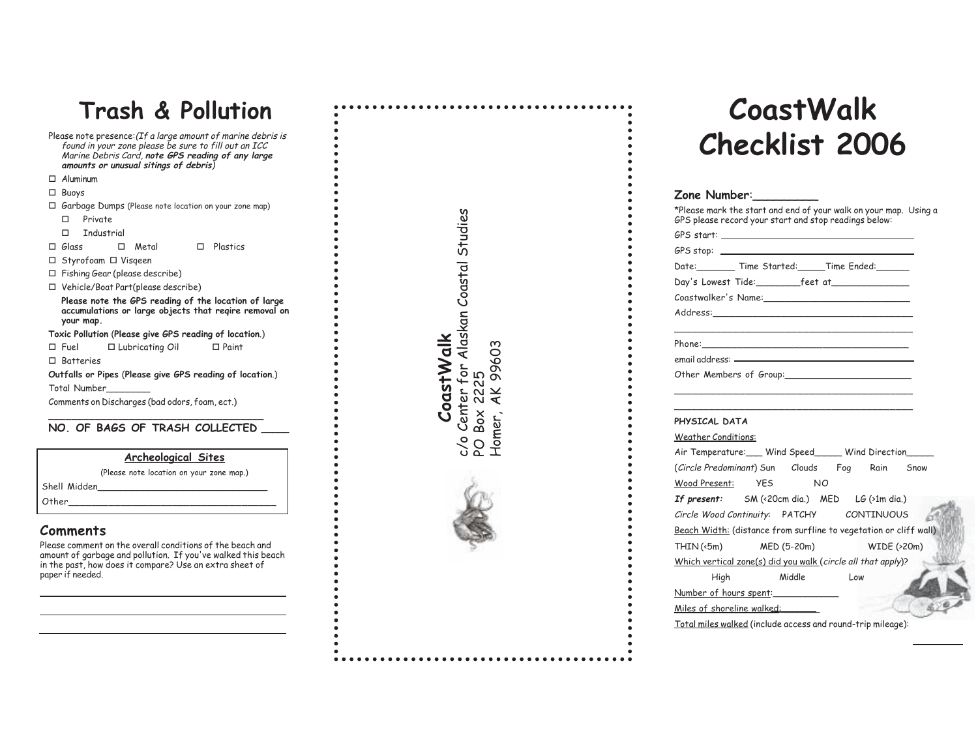## **Trash & Pollution**

- Please note presence:(If a large amount of marine debris is found in your zone please be sure to fill out an ICC Marine Debris Card, **note GPS reading of any large amounts or unusual sitings of debris**)
- Aluminum
- Buoys
- Garbage Dumps (Please note location on your zone map)
- □ Private
- $\square$  Industrial
- $\Box$  Glass  $\Box$  Metal  $\Box$  Plastics
- □ Styrofoam □ Visqeen
- Fishing Gear (please describe)
- Vehicle/Boat Part(please describe)
- **Please note the GPS reading of the location of large accumulations or large objects that reqire removal on your map.**
- **Toxic Pollution** (**Please give GPS reading of location**.)
- Fuel Lubricating Oil □ Paint
- $\Box$  Batteries
- **Outfalls or Pipes** (**Please give GPS reading of location**.)
- Total Number\_\_\_\_\_\_\_\_

Comments on Discharges (bad odors, foam, ect.)

#### \_\_\_\_\_\_\_\_\_\_\_\_\_\_\_\_\_\_\_\_\_\_\_\_\_\_\_\_\_\_\_\_\_\_\_\_\_ **NO. OF BAGS OF TRASH COLLECTED \_\_\_\_\_**

| Archeological Sites |  |
|---------------------|--|
|                     |  |

|              | (Please note location on your zone map.) |
|--------------|------------------------------------------|
| Shell Midden |                                          |
| Other        |                                          |

#### **Comments**

Please comment on the overall conditions of the beach and amount of garbage and pollution. If you've walked this beach in the past, how does it compare? Use an extra sheet of paper if needed.

| CoastWalk | c/o Center for Alaskan Coastal Studies | PO Box 2225 | Homer, AK 99603 |
|-----------|----------------------------------------|-------------|-----------------|
|           |                                        |             |                 |

# **CoastWalk Checklist 2006**

### **Zone Number**:\_\_\_\_\_\_\_\_\_

| Date: Time Started: Time Ended:                                                                                                                                                                                     |        |     |                   |
|---------------------------------------------------------------------------------------------------------------------------------------------------------------------------------------------------------------------|--------|-----|-------------------|
| Day's Lowest Tide:__________feet at________________                                                                                                                                                                 |        |     |                   |
|                                                                                                                                                                                                                     |        |     |                   |
|                                                                                                                                                                                                                     |        |     |                   |
|                                                                                                                                                                                                                     |        |     |                   |
|                                                                                                                                                                                                                     |        |     |                   |
| Other Members of Group:                                                                                                                                                                                             |        |     |                   |
|                                                                                                                                                                                                                     |        |     |                   |
|                                                                                                                                                                                                                     |        |     |                   |
|                                                                                                                                                                                                                     |        |     |                   |
|                                                                                                                                                                                                                     |        |     |                   |
| PHYSICAL DATA<br><b>Weather Conditions:</b>                                                                                                                                                                         |        |     |                   |
|                                                                                                                                                                                                                     |        |     |                   |
|                                                                                                                                                                                                                     |        |     |                   |
|                                                                                                                                                                                                                     |        |     |                   |
|                                                                                                                                                                                                                     |        |     |                   |
| Air Temperature: Wind Speed Wind Direction<br>(Circle Predominant) Sun Clouds Fog Rain Snow<br>Wood Present: YES NO<br>If present: $SM$ (<20cm dia.) MED LG (>1m dia.)<br>Circle Wood Continuity: PATCHY CONTINUOUS |        |     |                   |
| Beach Width: (distance from surfline to vegetation or cliff wall)                                                                                                                                                   |        |     |                   |
| $THIN(\textless 5m)$ MED (5-20m)                                                                                                                                                                                    |        |     | $WIDE$ ( $>20m$ ) |
| Which vertical zone(s) did you walk (circle all that apply)?                                                                                                                                                        |        |     |                   |
|                                                                                                                                                                                                                     | Middle | Low |                   |
| High<br>Number of hours spent:                                                                                                                                                                                      |        |     |                   |

Total miles walked (include access and round-trip mileage):

ħ